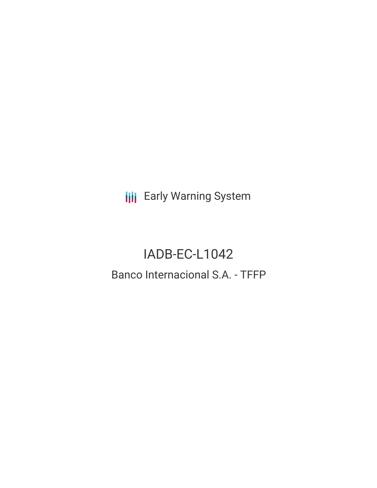**III** Early Warning System

# IADB-EC-L1042 Banco Internacional S.A. - TFFP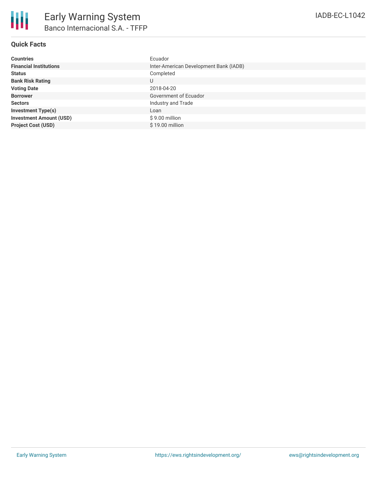| <b>Countries</b>               | Ecuador                                |
|--------------------------------|----------------------------------------|
| <b>Financial Institutions</b>  | Inter-American Development Bank (IADB) |
| <b>Status</b>                  | Completed                              |
| <b>Bank Risk Rating</b>        | U                                      |
| <b>Voting Date</b>             | 2018-04-20                             |
| <b>Borrower</b>                | Government of Ecuador                  |
| <b>Sectors</b>                 | Industry and Trade                     |
| <b>Investment Type(s)</b>      | Loan                                   |
| <b>Investment Amount (USD)</b> | $$9.00$ million                        |
| <b>Project Cost (USD)</b>      | \$19.00 million                        |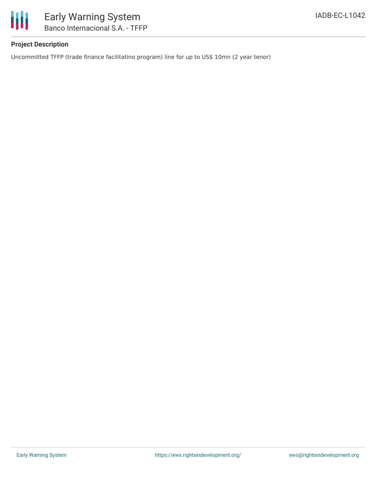

## **Project Description**

Uncommitted TFFP (trade finance facilitatino program) line for up to US\$ 10mn (2 year tenor)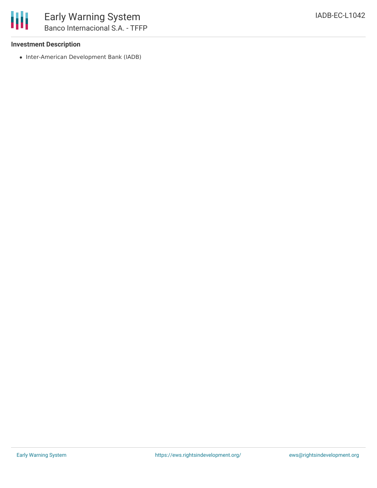### **Investment Description**

• Inter-American Development Bank (IADB)